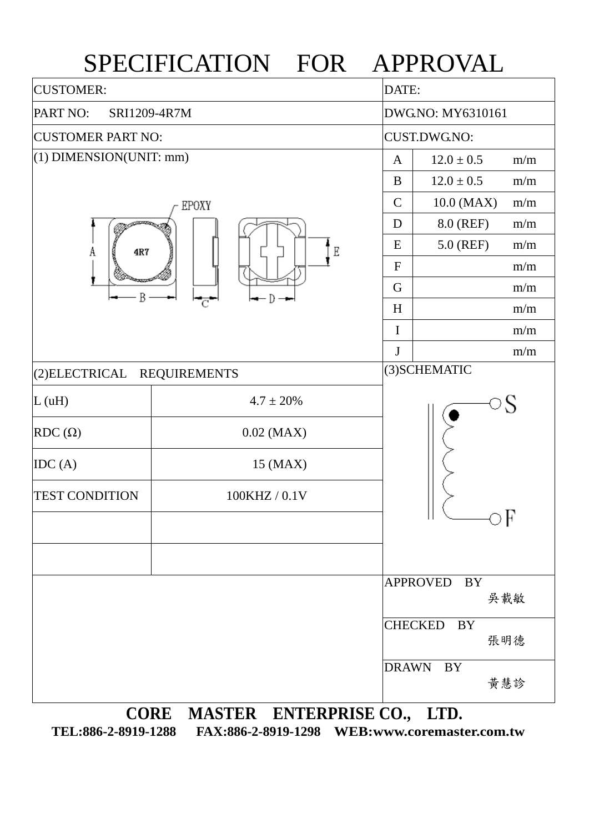

**TEL:886-2-8919-1288 FAX:886-2-8919-1298 WEB:www.coremaster.com.tw**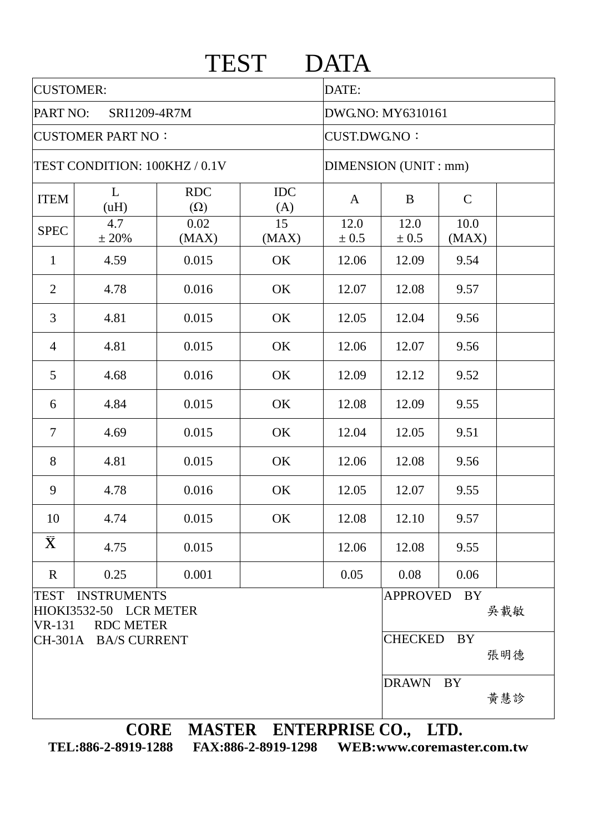|                               |                                                                |                          | <b>TEST</b>       | <b>DATA</b>          |                             |               |     |
|-------------------------------|----------------------------------------------------------------|--------------------------|-------------------|----------------------|-----------------------------|---------------|-----|
| <b>CUSTOMER:</b>              |                                                                |                          |                   | DATE:                |                             |               |     |
| PART NO:<br>SRI1209-4R7M      |                                                                |                          |                   | DWG.NO: MY6310161    |                             |               |     |
| <b>CUSTOMER PART NO:</b>      |                                                                |                          |                   | <b>CUST.DWG.NO:</b>  |                             |               |     |
| TEST CONDITION: 100KHZ / 0.1V |                                                                |                          |                   | DIMENSION (UNIT: mm) |                             |               |     |
| <b>ITEM</b>                   | L<br>(uH)                                                      | <b>RDC</b><br>$(\Omega)$ | <b>IDC</b><br>(A) | A                    | B                           | $\mathcal{C}$ |     |
| <b>SPEC</b>                   | 4.7<br>± 20%                                                   | 0.02<br>(MAX)            | 15<br>(MAX)       | 12.0<br>± 0.5        | 12.0<br>± 0.5               | 10.0<br>(MAX) |     |
| $\mathbf{1}$                  | 4.59                                                           | 0.015                    | OK                | 12.06                | 12.09                       | 9.54          |     |
| $\overline{2}$                | 4.78                                                           | 0.016                    | OK                | 12.07                | 12.08                       | 9.57          |     |
| 3                             | 4.81                                                           | 0.015                    | OK                | 12.05                | 12.04                       | 9.56          |     |
| $\overline{4}$                | 4.81                                                           | 0.015                    | OK                | 12.06                | 12.07                       | 9.56          |     |
| 5                             | 4.68                                                           | 0.016                    | OK                | 12.09                | 12.12                       | 9.52          |     |
| 6                             | 4.84                                                           | 0.015                    | OK                | 12.08                | 12.09                       | 9.55          |     |
| $\overline{7}$                | 4.69                                                           | 0.015                    | OK                | 12.04                | 12.05                       | 9.51          |     |
| 8                             | 4.81                                                           | 0.015                    | OK                | 12.06                | 12.08                       | 9.56          |     |
| 9                             | 4.78                                                           | 0.016                    | OK                | 12.05                | 12.07                       | 9.55          |     |
| 10                            | 4.74                                                           | 0.015                    | OK                | 12.08                | 12.10                       | 9.57          |     |
| $\bar{\mathbf{X}}$            | 4.75                                                           | 0.015                    |                   | 12.06                | 12.08                       | 9.55          |     |
| $\mathbf R$                   | 0.25                                                           | 0.001                    |                   | 0.05                 | 0.08                        | 0.06          |     |
| $VR-131$                      | TEST INSTRUMENTS<br>HIOKI3532-50 LCR METER<br><b>RDC METER</b> |                          |                   |                      | <b>APPROVED</b>             | BY            | 吳載敏 |
| CH-301A BA/S CURRENT          |                                                                |                          |                   |                      | <b>CHECKED</b><br>BY<br>張明德 |               |     |
|                               |                                                                |                          |                   |                      | <b>DRAWN</b>                | <b>BY</b>     | 黃慧診 |

**TEL:886-2-8919-1288 FAX:886-2-8919-1298 WEB:www.coremaster.com.tw**